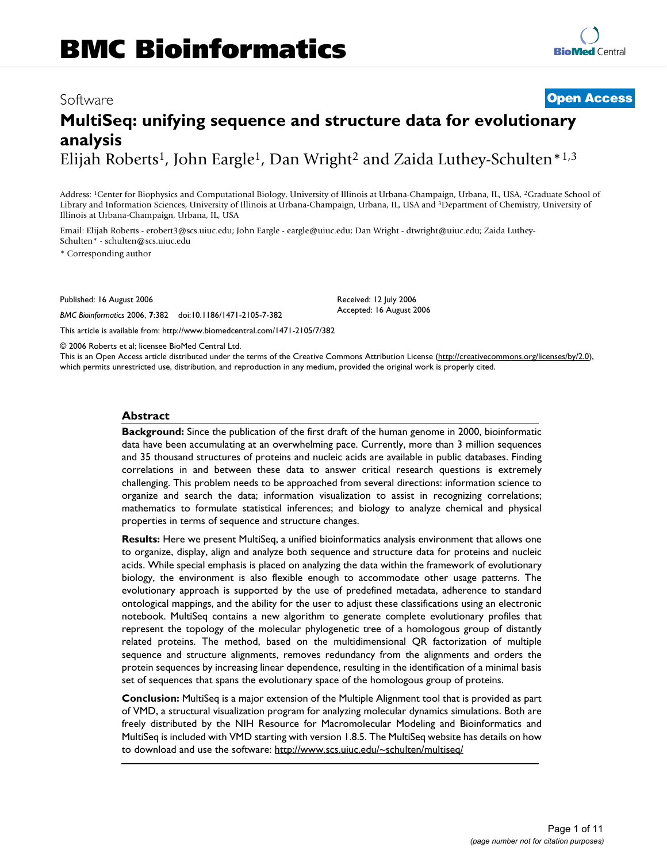# Software **[Open Access](http://www.biomedcentral.com/info/about/charter/) MultiSeq: unifying sequence and structure data for evolutionary analysis** Elijah Roberts<sup>1</sup>, John Eargle<sup>1</sup>, Dan Wright<sup>2</sup> and Zaida Luthey-Schulten<sup>\*1,3</sup>

Address: 1Center for Biophysics and Computational Biology, University of Illinois at Urbana-Champaign, Urbana, IL, USA, 2Graduate School of Library and Information Sciences, University of Illinois at Urbana-Champaign, Urbana, IL, USA and 3Department of Chemistry, University of Illinois at Urbana-Champaign, Urbana, IL, USA

Email: Elijah Roberts - erobert3@scs.uiuc.edu; John Eargle - eargle@uiuc.edu; Dan Wright - dtwright@uiuc.edu; Zaida Luthey-Schulten\* - schulten@scs.uiuc.edu

\* Corresponding author

Published: 16 August 2006

*BMC Bioinformatics* 2006, **7**:382 doi:10.1186/1471-2105-7-382

[This article is available from: http://www.biomedcentral.com/1471-2105/7/382](http://www.biomedcentral.com/1471-2105/7/382)

© 2006 Roberts et al; licensee BioMed Central Ltd. This is an Open Access article distributed under the terms of the Creative Commons Attribution License [\(http://creativecommons.org/licenses/by/2.0\)](http://creativecommons.org/licenses/by/2.0), which permits unrestricted use, distribution, and reproduction in any medium, provided the original work is properly cited.

Received: 12 July 2006 Accepted: 16 August 2006

## **Abstract**

**Background:** Since the publication of the first draft of the human genome in 2000, bioinformatic data have been accumulating at an overwhelming pace. Currently, more than 3 million sequences and 35 thousand structures of proteins and nucleic acids are available in public databases. Finding correlations in and between these data to answer critical research questions is extremely challenging. This problem needs to be approached from several directions: information science to organize and search the data; information visualization to assist in recognizing correlations; mathematics to formulate statistical inferences; and biology to analyze chemical and physical properties in terms of sequence and structure changes.

**Results:** Here we present MultiSeq, a unified bioinformatics analysis environment that allows one to organize, display, align and analyze both sequence and structure data for proteins and nucleic acids. While special emphasis is placed on analyzing the data within the framework of evolutionary biology, the environment is also flexible enough to accommodate other usage patterns. The evolutionary approach is supported by the use of predefined metadata, adherence to standard ontological mappings, and the ability for the user to adjust these classifications using an electronic notebook. MultiSeq contains a new algorithm to generate complete evolutionary profiles that represent the topology of the molecular phylogenetic tree of a homologous group of distantly related proteins. The method, based on the multidimensional QR factorization of multiple sequence and structure alignments, removes redundancy from the alignments and orders the protein sequences by increasing linear dependence, resulting in the identification of a minimal basis set of sequences that spans the evolutionary space of the homologous group of proteins.

**Conclusion:** MultiSeq is a major extension of the Multiple Alignment tool that is provided as part of VMD, a structural visualization program for analyzing molecular dynamics simulations. Both are freely distributed by the NIH Resource for Macromolecular Modeling and Bioinformatics and MultiSeq is included with VMD starting with version 1.8.5. The MultiSeq website has details on how to download and use the software:<http://www.scs.uiuc.edu/~schulten/multiseq/>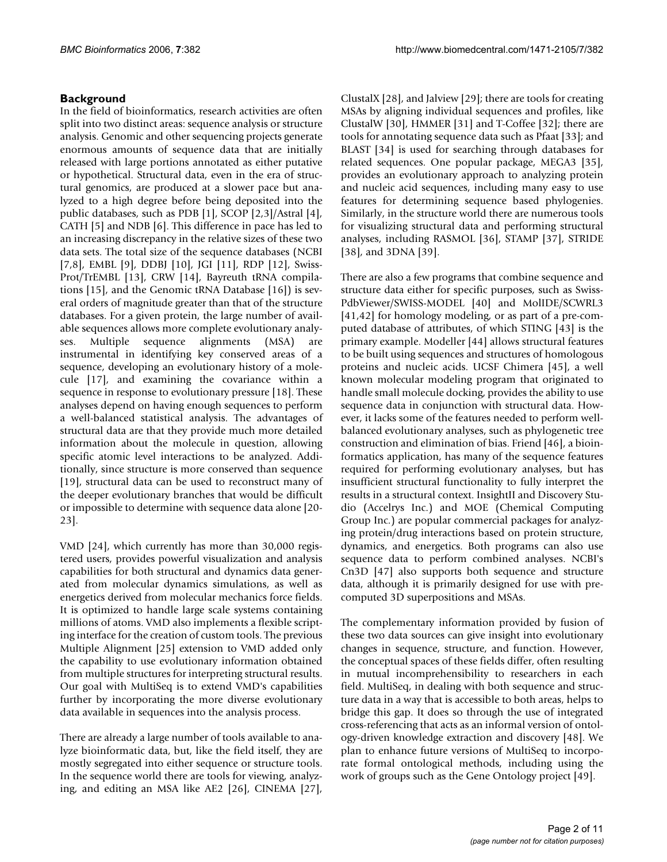# **Background**

In the field of bioinformatics, research activities are often split into two distinct areas: sequence analysis or structure analysis. Genomic and other sequencing projects generate enormous amounts of sequence data that are initially released with large portions annotated as either putative or hypothetical. Structural data, even in the era of structural genomics, are produced at a slower pace but analyzed to a high degree before being deposited into the public databases, such as PDB [1], SCOP [2,3]/Astral [4], CATH [5] and NDB [6]. This difference in pace has led to an increasing discrepancy in the relative sizes of these two data sets. The total size of the sequence databases (NCBI [7,8], EMBL [9], DDBJ [10], JGI [11], RDP [12], Swiss-Prot/TrEMBL [13], CRW [14], Bayreuth tRNA compilations [15], and the Genomic tRNA Database [16]) is several orders of magnitude greater than that of the structure databases. For a given protein, the large number of available sequences allows more complete evolutionary analyses. Multiple sequence alignments (MSA) are instrumental in identifying key conserved areas of a sequence, developing an evolutionary history of a molecule [17], and examining the covariance within a sequence in response to evolutionary pressure [18]. These analyses depend on having enough sequences to perform a well-balanced statistical analysis. The advantages of structural data are that they provide much more detailed information about the molecule in question, allowing specific atomic level interactions to be analyzed. Additionally, since structure is more conserved than sequence [19], structural data can be used to reconstruct many of the deeper evolutionary branches that would be difficult or impossible to determine with sequence data alone [20- 23].

VMD [24], which currently has more than 30,000 registered users, provides powerful visualization and analysis capabilities for both structural and dynamics data generated from molecular dynamics simulations, as well as energetics derived from molecular mechanics force fields. It is optimized to handle large scale systems containing millions of atoms. VMD also implements a flexible scripting interface for the creation of custom tools. The previous Multiple Alignment [25] extension to VMD added only the capability to use evolutionary information obtained from multiple structures for interpreting structural results. Our goal with MultiSeq is to extend VMD's capabilities further by incorporating the more diverse evolutionary data available in sequences into the analysis process.

There are already a large number of tools available to analyze bioinformatic data, but, like the field itself, they are mostly segregated into either sequence or structure tools. In the sequence world there are tools for viewing, analyzing, and editing an MSA like AE2 [26], CINEMA [27],

ClustalX [28], and Jalview [29]; there are tools for creating MSAs by aligning individual sequences and profiles, like ClustalW [30], HMMER [31] and T-Coffee [32]; there are tools for annotating sequence data such as Pfaat [33]; and BLAST [34] is used for searching through databases for related sequences. One popular package, MEGA3 [35], provides an evolutionary approach to analyzing protein and nucleic acid sequences, including many easy to use features for determining sequence based phylogenies. Similarly, in the structure world there are numerous tools for visualizing structural data and performing structural analyses, including RASMOL [36], STAMP [37], STRIDE [38], and 3DNA [39].

There are also a few programs that combine sequence and structure data either for specific purposes, such as Swiss-PdbViewer/SWISS-MODEL [40] and MolIDE/SCWRL3 [41,42] for homology modeling, or as part of a pre-computed database of attributes, of which STING [43] is the primary example. Modeller [44] allows structural features to be built using sequences and structures of homologous proteins and nucleic acids. UCSF Chimera [45], a well known molecular modeling program that originated to handle small molecule docking, provides the ability to use sequence data in conjunction with structural data. However, it lacks some of the features needed to perform wellbalanced evolutionary analyses, such as phylogenetic tree construction and elimination of bias. Friend [46], a bioinformatics application, has many of the sequence features required for performing evolutionary analyses, but has insufficient structural functionality to fully interpret the results in a structural context. InsightII and Discovery Studio (Accelrys Inc.) and MOE (Chemical Computing Group Inc.) are popular commercial packages for analyzing protein/drug interactions based on protein structure, dynamics, and energetics. Both programs can also use sequence data to perform combined analyses. NCBI's Cn3D [47] also supports both sequence and structure data, although it is primarily designed for use with precomputed 3D superpositions and MSAs.

The complementary information provided by fusion of these two data sources can give insight into evolutionary changes in sequence, structure, and function. However, the conceptual spaces of these fields differ, often resulting in mutual incomprehensibility to researchers in each field. MultiSeq, in dealing with both sequence and structure data in a way that is accessible to both areas, helps to bridge this gap. It does so through the use of integrated cross-referencing that acts as an informal version of ontology-driven knowledge extraction and discovery [48]. We plan to enhance future versions of MultiSeq to incorporate formal ontological methods, including using the work of groups such as the Gene Ontology project [49].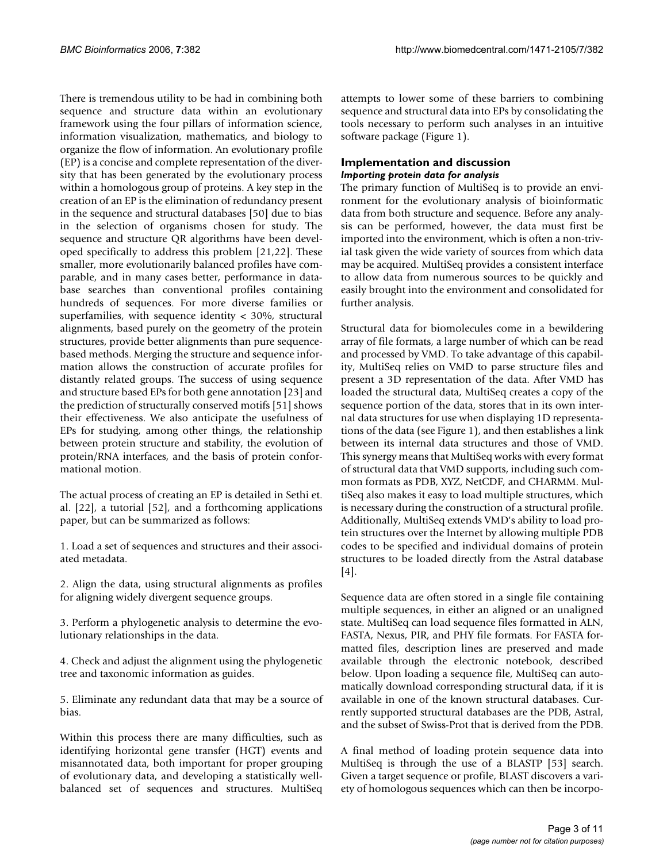There is tremendous utility to be had in combining both sequence and structure data within an evolutionary framework using the four pillars of information science, information visualization, mathematics, and biology to organize the flow of information. An evolutionary profile (EP) is a concise and complete representation of the diversity that has been generated by the evolutionary process within a homologous group of proteins. A key step in the creation of an EP is the elimination of redundancy present in the sequence and structural databases [50] due to bias in the selection of organisms chosen for study. The sequence and structure QR algorithms have been developed specifically to address this problem [21,22]. These smaller, more evolutionarily balanced profiles have comparable, and in many cases better, performance in database searches than conventional profiles containing hundreds of sequences. For more diverse families or superfamilies, with sequence identity < 30%, structural alignments, based purely on the geometry of the protein structures, provide better alignments than pure sequencebased methods. Merging the structure and sequence information allows the construction of accurate profiles for distantly related groups. The success of using sequence and structure based EPs for both gene annotation [23] and the prediction of structurally conserved motifs [51] shows their effectiveness. We also anticipate the usefulness of EPs for studying, among other things, the relationship between protein structure and stability, the evolution of protein/RNA interfaces, and the basis of protein conformational motion.

The actual process of creating an EP is detailed in Sethi et. al. [22], a tutorial [52], and a forthcoming applications paper, but can be summarized as follows:

1. Load a set of sequences and structures and their associated metadata.

2. Align the data, using structural alignments as profiles for aligning widely divergent sequence groups.

3. Perform a phylogenetic analysis to determine the evolutionary relationships in the data.

4. Check and adjust the alignment using the phylogenetic tree and taxonomic information as guides.

5. Eliminate any redundant data that may be a source of bias.

Within this process there are many difficulties, such as identifying horizontal gene transfer (HGT) events and misannotated data, both important for proper grouping of evolutionary data, and developing a statistically wellbalanced set of sequences and structures. MultiSeq

attempts to lower some of these barriers to combining sequence and structural data into EPs by consolidating the tools necessary to perform such analyses in an intuitive software package (Figure 1).

# **Implementation and discussion** *Importing protein data for analysis*

The primary function of MultiSeq is to provide an environment for the evolutionary analysis of bioinformatic data from both structure and sequence. Before any analysis can be performed, however, the data must first be imported into the environment, which is often a non-trivial task given the wide variety of sources from which data may be acquired. MultiSeq provides a consistent interface to allow data from numerous sources to be quickly and easily brought into the environment and consolidated for further analysis.

Structural data for biomolecules come in a bewildering array of file formats, a large number of which can be read and processed by VMD. To take advantage of this capability, MultiSeq relies on VMD to parse structure files and present a 3D representation of the data. After VMD has loaded the structural data, MultiSeq creates a copy of the sequence portion of the data, stores that in its own internal data structures for use when displaying 1D representations of the data (see Figure 1), and then establishes a link between its internal data structures and those of VMD. This synergy means that MultiSeq works with every format of structural data that VMD supports, including such common formats as PDB, XYZ, NetCDF, and CHARMM. MultiSeq also makes it easy to load multiple structures, which is necessary during the construction of a structural profile. Additionally, MultiSeq extends VMD's ability to load protein structures over the Internet by allowing multiple PDB codes to be specified and individual domains of protein structures to be loaded directly from the Astral database [4].

Sequence data are often stored in a single file containing multiple sequences, in either an aligned or an unaligned state. MultiSeq can load sequence files formatted in ALN, FASTA, Nexus, PIR, and PHY file formats. For FASTA formatted files, description lines are preserved and made available through the electronic notebook, described below. Upon loading a sequence file, MultiSeq can automatically download corresponding structural data, if it is available in one of the known structural databases. Currently supported structural databases are the PDB, Astral, and the subset of Swiss-Prot that is derived from the PDB.

A final method of loading protein sequence data into MultiSeq is through the use of a BLASTP [53] search. Given a target sequence or profile, BLAST discovers a variety of homologous sequences which can then be incorpo-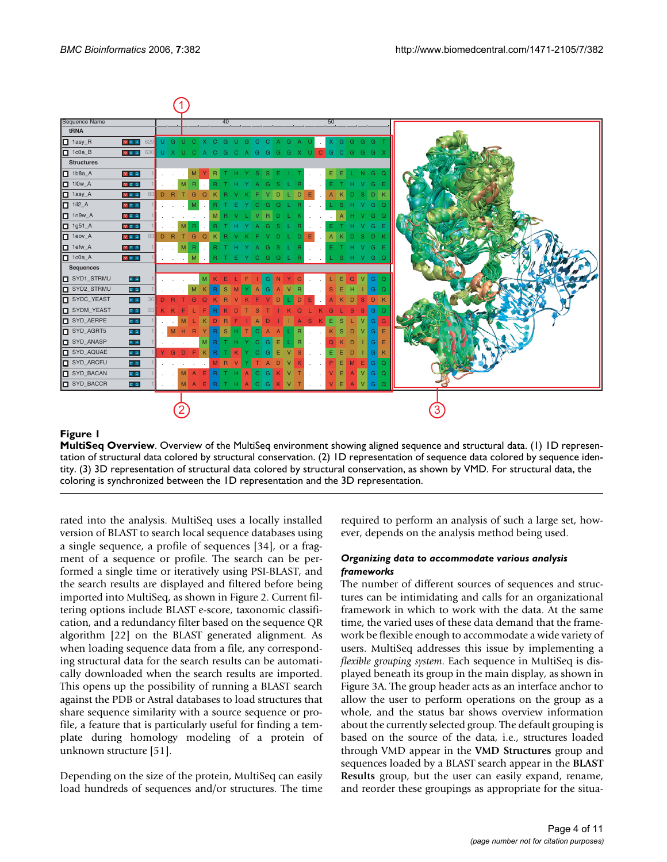

# **Figure 1**

**MultiSeq Overview**. Overview of the MultiSeq environment showing aligned sequence and structural data. (1) 1D representation of structural data colored by structural conservation. (2) 1D representation of sequence data colored by sequence identity. (3) 3D representation of structural data colored by structural conservation, as shown by VMD. For structural data, the coloring is synchronized between the 1D representation and the 3D representation.

rated into the analysis. MultiSeq uses a locally installed version of BLAST to search local sequence databases using a single sequence, a profile of sequences [34], or a fragment of a sequence or profile. The search can be performed a single time or iteratively using PSI-BLAST, and the search results are displayed and filtered before being imported into MultiSeq, as shown in Figure 2. Current filtering options include BLAST e-score, taxonomic classification, and a redundancy filter based on the sequence QR algorithm [22] on the BLAST generated alignment. As when loading sequence data from a file, any corresponding structural data for the search results can be automatically downloaded when the search results are imported. This opens up the possibility of running a BLAST search against the PDB or Astral databases to load structures that share sequence similarity with a source sequence or profile, a feature that is particularly useful for finding a template during homology modeling of a protein of unknown structure [51].

Depending on the size of the protein, MultiSeq can easily load hundreds of sequences and/or structures. The time required to perform an analysis of such a large set, however, depends on the analysis method being used.

## *Organizing data to accommodate various analysis frameworks*

The number of different sources of sequences and structures can be intimidating and calls for an organizational framework in which to work with the data. At the same time, the varied uses of these data demand that the framework be flexible enough to accommodate a wide variety of users. MultiSeq addresses this issue by implementing a *flexible grouping system*. Each sequence in MultiSeq is displayed beneath its group in the main display, as shown in Figure 3A. The group header acts as an interface anchor to allow the user to perform operations on the group as a whole, and the status bar shows overview information about the currently selected group. The default grouping is based on the source of the data, i.e., structures loaded through VMD appear in the **VMD Structures** group and sequences loaded by a BLAST search appear in the **BLAST Results** group, but the user can easily expand, rename, and reorder these groupings as appropriate for the situa-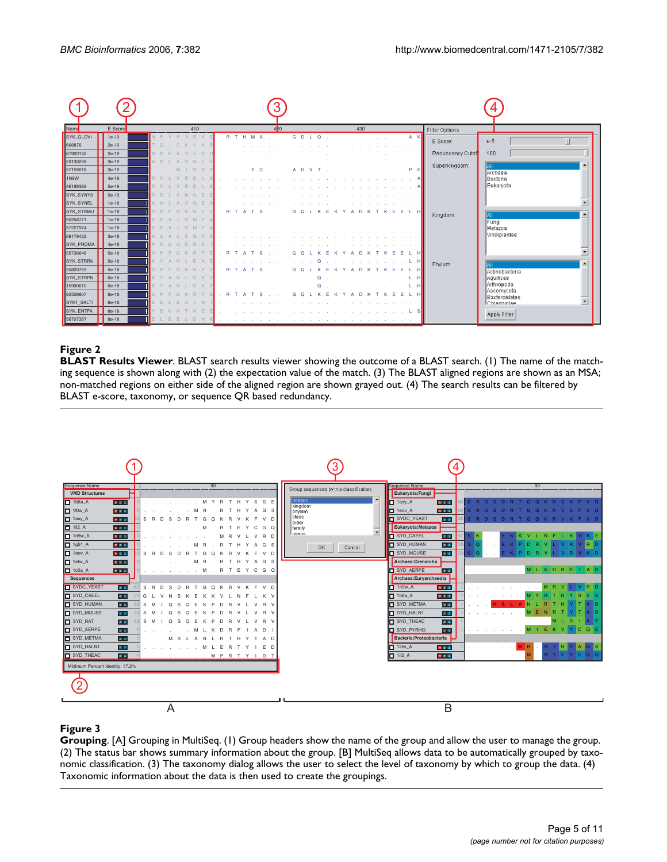| Name             | E Score | 410                       | 4 <sup>b</sup>         | 430               | Filter Options                             |
|------------------|---------|---------------------------|------------------------|-------------------|--------------------------------------------|
| SYK_GLOVI        | $1e-19$ | N <sub>P</sub><br>B       | M<br>H<br>B.<br>G<br>D | $\ldots$ $A K$    | E Score:<br>$e-5$                          |
| 666876           | $2e-19$ | r o                       |                        |                   |                                            |
| 67920132         | $2e-19$ | $N$ G                     |                        |                   | Redundancy Cutof<br>100                    |
| 23130228         | $3e-19$ | A D<br>G                  |                        |                   | Superkingdom:<br>$\blacktriangle$<br>IIAII |
| 57159018         | $3e-19$ | $M$  <br>D K              |                        | P.                | Archaea                                    |
| 1N9W             | $4e-19$ | B V<br>D.                 |                        |                   | lBacteria                                  |
| 46199389         | 5e-19   | R V                       |                        |                   | Eukaryota                                  |
| SYK_SYNY3        | 5e-19   | B <sub>D</sub><br>G       |                        |                   |                                            |
| SYK_SYNEL        | $1e-18$ | A H<br>G                  |                        |                   |                                            |
| SYK_STRMU        | $1e-18$ | D P                       |                        | -L HI<br>F.       | $\rightarrow$<br>Kingdom:<br>llail         |
| 50256771         | $1e-18$ |                           |                        |                   | Fungi                                      |
| 57227974         | $1e-18$ |                           |                        |                   | lMetazoa                                   |
| 68179432         | 3e-18   | A A<br>$\mathbb{C}$<br>G. |                        |                   | Viridiplantae                              |
| SYK_PROMA        | $4e-18$ | G<br>$\cap$<br>B<br>F     |                        |                   |                                            |
| 55738646         | 5e-18   |                           |                        |                   |                                            |
| <b>SYK STRR6</b> | 5e-18   |                           |                        | L HI              | Phylum:<br>$\blacktriangle$                |
| 55820759         | 5e-18   |                           | R                      |                   | Actinobacteria                             |
| SYK_STRPN        | 6e-18   |                           |                        |                   | Aquificae                                  |
| 15900610         | 6e-18   |                           |                        |                   | Arthropoda                                 |
| 62526807         | 6e-18   |                           |                        |                   | <b>Ascomycota</b><br>Bacteroidetes         |
| SYK1_SALTI       | 6e-18   |                           |                        |                   | Chlamydiae                                 |
| <b>SYK ENTFA</b> | 8e-18   | $\Box$                    |                        |                   | Apply Filter                               |
| 56707357         | 8e-18   | DNK                       |                        | <b>Contractor</b> |                                            |

# **Figure 2**

**BLAST Results Viewer**. BLAST search results viewer showing the outcome of a BLAST search. (1) The name of the matching sequence is shown along with (2) the expectation value of the match. (3) The BLAST aligned regions are shown as an MSA; non-matched regions on either side of the aligned region are shown grayed out. (4) The search results can be filtered by BLAST e-score, taxonomy, or sequence QR based redundancy.



# **Figure 3**

**Grouping**. [A] Grouping in MultiSeq. (1) Group headers show the name of the group and allow the user to manage the group. (2) The status bar shows summary information about the group. [B] MultiSeq allows data to be automatically grouped by taxonomic classification. (3) The taxonomy dialog allows the user to select the level of taxonomy by which to group the data. (4) Taxonomic information about the data is then used to create the groupings.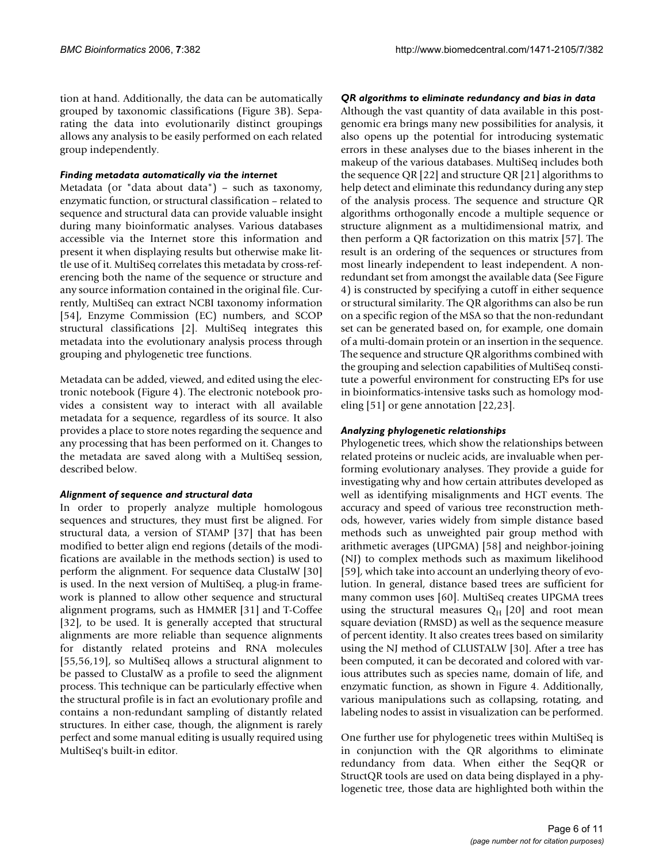tion at hand. Additionally, the data can be automatically grouped by taxonomic classifications (Figure 3B). Separating the data into evolutionarily distinct groupings allows any analysis to be easily performed on each related group independently.

## *Finding metadata automatically via the internet*

Metadata (or "data about data") – such as taxonomy, enzymatic function, or structural classification – related to sequence and structural data can provide valuable insight during many bioinformatic analyses. Various databases accessible via the Internet store this information and present it when displaying results but otherwise make little use of it. MultiSeq correlates this metadata by cross-referencing both the name of the sequence or structure and any source information contained in the original file. Currently, MultiSeq can extract NCBI taxonomy information [54], Enzyme Commission (EC) numbers, and SCOP structural classifications [2]. MultiSeq integrates this metadata into the evolutionary analysis process through grouping and phylogenetic tree functions.

Metadata can be added, viewed, and edited using the electronic notebook (Figure 4). The electronic notebook provides a consistent way to interact with all available metadata for a sequence, regardless of its source. It also provides a place to store notes regarding the sequence and any processing that has been performed on it. Changes to the metadata are saved along with a MultiSeq session, described below.

# *Alignment of sequence and structural data*

In order to properly analyze multiple homologous sequences and structures, they must first be aligned. For structural data, a version of STAMP [37] that has been modified to better align end regions (details of the modifications are available in the methods section) is used to perform the alignment. For sequence data ClustalW [30] is used. In the next version of MultiSeq, a plug-in framework is planned to allow other sequence and structural alignment programs, such as HMMER [31] and T-Coffee [32], to be used. It is generally accepted that structural alignments are more reliable than sequence alignments for distantly related proteins and RNA molecules [55,56,19], so MultiSeq allows a structural alignment to be passed to ClustalW as a profile to seed the alignment process. This technique can be particularly effective when the structural profile is in fact an evolutionary profile and contains a non-redundant sampling of distantly related structures. In either case, though, the alignment is rarely perfect and some manual editing is usually required using MultiSeq's built-in editor.

## *QR algorithms to eliminate redundancy and bias in data*

Although the vast quantity of data available in this postgenomic era brings many new possibilities for analysis, it also opens up the potential for introducing systematic errors in these analyses due to the biases inherent in the makeup of the various databases. MultiSeq includes both the sequence QR [22] and structure QR [21] algorithms to help detect and eliminate this redundancy during any step of the analysis process. The sequence and structure QR algorithms orthogonally encode a multiple sequence or structure alignment as a multidimensional matrix, and then perform a QR factorization on this matrix [57]. The result is an ordering of the sequences or structures from most linearly independent to least independent. A nonredundant set from amongst the available data (See Figure 4) is constructed by specifying a cutoff in either sequence or structural similarity. The QR algorithms can also be run on a specific region of the MSA so that the non-redundant set can be generated based on, for example, one domain of a multi-domain protein or an insertion in the sequence. The sequence and structure QR algorithms combined with the grouping and selection capabilities of MultiSeq constitute a powerful environment for constructing EPs for use in bioinformatics-intensive tasks such as homology modeling [51] or gene annotation [22,23].

#### *Analyzing phylogenetic relationships*

Phylogenetic trees, which show the relationships between related proteins or nucleic acids, are invaluable when performing evolutionary analyses. They provide a guide for investigating why and how certain attributes developed as well as identifying misalignments and HGT events. The accuracy and speed of various tree reconstruction methods, however, varies widely from simple distance based methods such as unweighted pair group method with arithmetic averages (UPGMA) [58] and neighbor-joining (NJ) to complex methods such as maximum likelihood [59], which take into account an underlying theory of evolution. In general, distance based trees are sufficient for many common uses [60]. MultiSeq creates UPGMA trees using the structural measures  $Q_H$  [20] and root mean square deviation (RMSD) as well as the sequence measure of percent identity. It also creates trees based on similarity using the NJ method of CLUSTALW [30]. After a tree has been computed, it can be decorated and colored with various attributes such as species name, domain of life, and enzymatic function, as shown in Figure 4. Additionally, various manipulations such as collapsing, rotating, and labeling nodes to assist in visualization can be performed.

One further use for phylogenetic trees within MultiSeq is in conjunction with the QR algorithms to eliminate redundancy from data. When either the SeqQR or StructQR tools are used on data being displayed in a phylogenetic tree, those data are highlighted both within the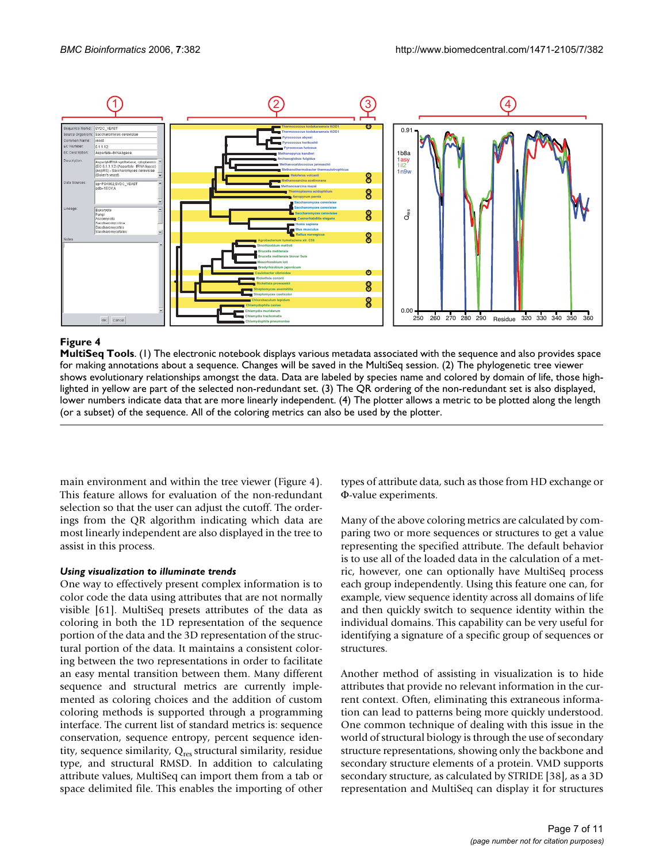

# **Figure 4**

**MultiSeq Tools**. (1) The electronic notebook displays various metadata associated with the sequence and also provides space for making annotations about a sequence. Changes will be saved in the MultiSeq session. (2) The phylogenetic tree viewer shows evolutionary relationships amongst the data. Data are labeled by species name and colored by domain of life, those highlighted in yellow are part of the selected non-redundant set. (3) The QR ordering of the non-redundant set is also displayed, lower numbers indicate data that are more linearly independent. (4) The plotter allows a metric to be plotted along the length (or a subset) of the sequence. All of the coloring metrics can also be used by the plotter.

main environment and within the tree viewer (Figure 4). This feature allows for evaluation of the non-redundant selection so that the user can adjust the cutoff. The orderings from the QR algorithm indicating which data are most linearly independent are also displayed in the tree to assist in this process.

#### *Using visualization to illuminate trends*

One way to effectively present complex information is to color code the data using attributes that are not normally visible [61]. MultiSeq presets attributes of the data as coloring in both the 1D representation of the sequence portion of the data and the 3D representation of the structural portion of the data. It maintains a consistent coloring between the two representations in order to facilitate an easy mental transition between them. Many different sequence and structural metrics are currently implemented as coloring choices and the addition of custom coloring methods is supported through a programming interface. The current list of standard metrics is: sequence conservation, sequence entropy, percent sequence identity, sequence similarity,  $Q_{res}$  structural similarity, residue type, and structural RMSD. In addition to calculating attribute values, MultiSeq can import them from a tab or space delimited file. This enables the importing of other types of attribute data, such as those from HD exchange or Φ-value experiments.

Many of the above coloring metrics are calculated by comparing two or more sequences or structures to get a value representing the specified attribute. The default behavior is to use all of the loaded data in the calculation of a metric, however, one can optionally have MultiSeq process each group independently. Using this feature one can, for example, view sequence identity across all domains of life and then quickly switch to sequence identity within the individual domains. This capability can be very useful for identifying a signature of a specific group of sequences or structures.

Another method of assisting in visualization is to hide attributes that provide no relevant information in the current context. Often, eliminating this extraneous information can lead to patterns being more quickly understood. One common technique of dealing with this issue in the world of structural biology is through the use of secondary structure representations, showing only the backbone and secondary structure elements of a protein. VMD supports secondary structure, as calculated by STRIDE [38], as a 3D representation and MultiSeq can display it for structures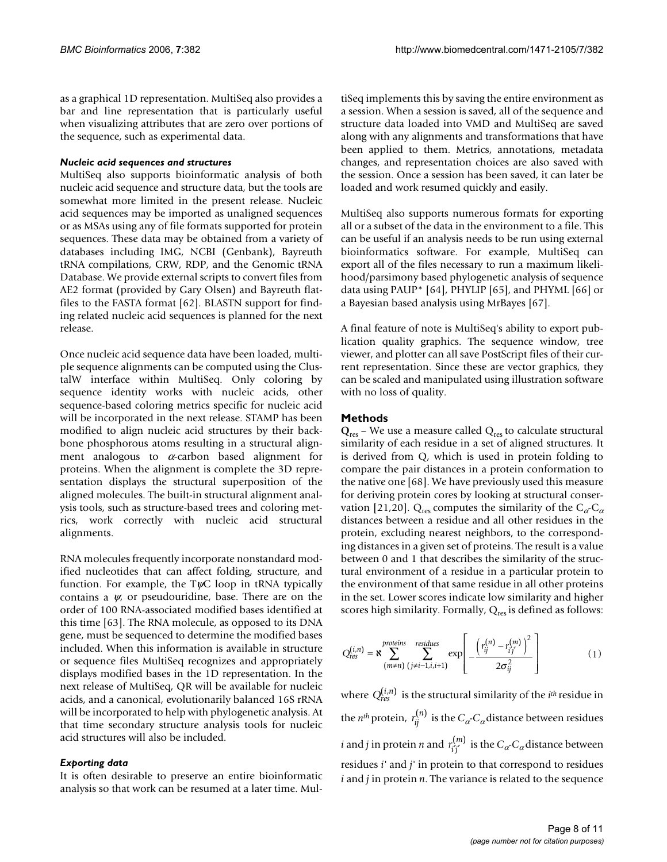as a graphical 1D representation. MultiSeq also provides a bar and line representation that is particularly useful when visualizing attributes that are zero over portions of the sequence, such as experimental data.

#### *Nucleic acid sequences and structures*

MultiSeq also supports bioinformatic analysis of both nucleic acid sequence and structure data, but the tools are somewhat more limited in the present release. Nucleic acid sequences may be imported as unaligned sequences or as MSAs using any of file formats supported for protein sequences. These data may be obtained from a variety of databases including IMG, NCBI (Genbank), Bayreuth tRNA compilations, CRW, RDP, and the Genomic tRNA Database. We provide external scripts to convert files from AE2 format (provided by Gary Olsen) and Bayreuth flatfiles to the FASTA format [62]. BLASTN support for finding related nucleic acid sequences is planned for the next release.

Once nucleic acid sequence data have been loaded, multiple sequence alignments can be computed using the ClustalW interface within MultiSeq. Only coloring by sequence identity works with nucleic acids, other sequence-based coloring metrics specific for nucleic acid will be incorporated in the next release. STAMP has been modified to align nucleic acid structures by their backbone phosphorous atoms resulting in a structural alignment analogous to  $\alpha$ -carbon based alignment for proteins. When the alignment is complete the 3D representation displays the structural superposition of the aligned molecules. The built-in structural alignment analysis tools, such as structure-based trees and coloring metrics, work correctly with nucleic acid structural alignments.

RNA molecules frequently incorporate nonstandard modified nucleotides that can affect folding, structure, and function. For example, the  $T\psi C$  loop in tRNA typically contains a  $\psi$ , or pseudouridine, base. There are on the order of 100 RNA-associated modified bases identified at this time [63]. The RNA molecule, as opposed to its DNA gene, must be sequenced to determine the modified bases included. When this information is available in structure or sequence files MultiSeq recognizes and appropriately displays modified bases in the 1D representation. In the next release of MultiSeq, QR will be available for nucleic acids, and a canonical, evolutionarily balanced 16S rRNA will be incorporated to help with phylogenetic analysis. At that time secondary structure analysis tools for nucleic acid structures will also be included.

#### *Exporting data*

It is often desirable to preserve an entire bioinformatic analysis so that work can be resumed at a later time. MultiSeq implements this by saving the entire environment as a session. When a session is saved, all of the sequence and structure data loaded into VMD and MultiSeq are saved along with any alignments and transformations that have been applied to them. Metrics, annotations, metadata changes, and representation choices are also saved with the session. Once a session has been saved, it can later be loaded and work resumed quickly and easily.

MultiSeq also supports numerous formats for exporting all or a subset of the data in the environment to a file. This can be useful if an analysis needs to be run using external bioinformatics software. For example, MultiSeq can export all of the files necessary to run a maximum likelihood/parsimony based phylogenetic analysis of sequence data using PAUP\* [64], PHYLIP [65], and PHYML [66] or a Bayesian based analysis using MrBayes [67].

A final feature of note is MultiSeq's ability to export publication quality graphics. The sequence window, tree viewer, and plotter can all save PostScript files of their current representation. Since these are vector graphics, they can be scaled and manipulated using illustration software with no loss of quality.

## **Methods**

 $Q_{res}$  – We use a measure called  $Q_{res}$  to calculate structural similarity of each residue in a set of aligned structures. It is derived from Q, which is used in protein folding to compare the pair distances in a protein conformation to the native one [68]. We have previously used this measure for deriving protein cores by looking at structural conservation [21,20]. Q<sub>res</sub> computes the similarity of the  $C_{\alpha}$ -C<sub> $\alpha$ </sub> distances between a residue and all other residues in the protein, excluding nearest neighbors, to the corresponding distances in a given set of proteins. The result is a value between 0 and 1 that describes the similarity of the structural environment of a residue in a particular protein to the environment of that same residue in all other proteins in the set. Lower scores indicate low similarity and higher scores high similarity. Formally,  $Q_{res}$  is defined as follows:

$$
Q_{res}^{(i,n)} = \mathbf{R} \sum_{(m \neq n)}^{proteins} \sum_{(j \neq i-1, i, i+1)}^{residues} \exp\left[-\frac{\left(r_{ij}^{(n)} - r_{ij'}^{(m)}\right)^2}{2\sigma_{ij}^2}\right]
$$
(1)

where  $Q_{res}^{(i,n)}$  is the structural similarity of the  $i^{th}$  residue in the *n<sup>th</sup>* protein,  $r_{ij}^{(n)}$  is the  $C_{\alpha}$ - $C_{\alpha}$  distance between residues *i* and *j* in protein *n* and  $r_{i'j'}^{(m)}$  is the  $C_{\alpha}$ - $C_{\alpha}$  distance between residues *i'* and *j'* in protein to that correspond to residues *i* and *j* in protein *n*. The variance is related to the sequence  $(n)$ *m* ′ ′  $(m)$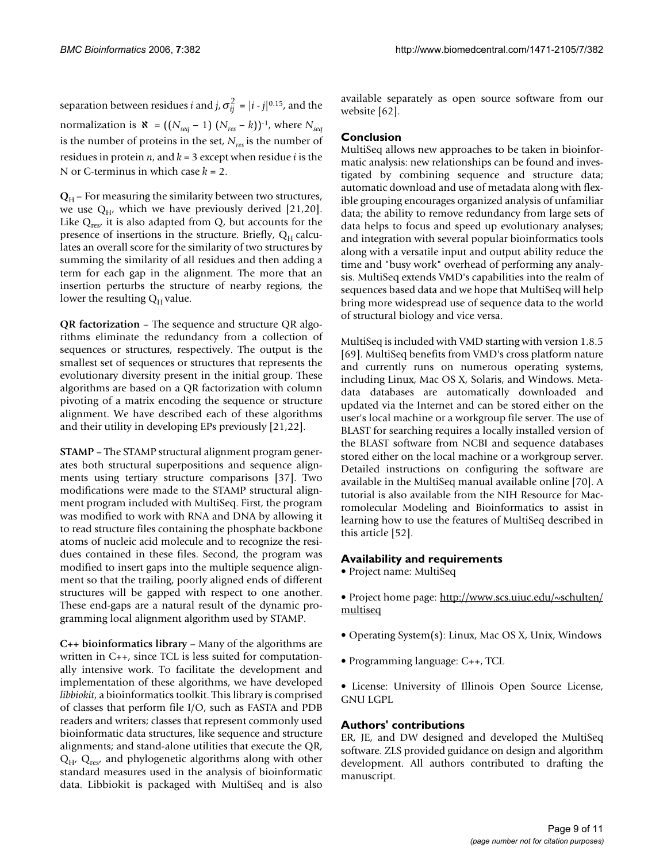separation between residues *i* and *j*,  $\sigma_{ij}^2 = |i-j|^{0.15}$ , and the normalization is  $\aleph = ((N_{seq}-1) (N_{res}-k))^{-1}$ , where  $N_{seq}$ is the number of proteins in the set, *Nres* is the number of residues in protein *n*, and *k =* 3 except when residue *i* is the N or C-terminus in which case *k =* 2.

 $Q_H$  – For measuring the similarity between two structures, we use  $Q_H$ , which we have previously derived [21,20]. Like  $Q_{res'}$  it is also adapted from  $Q$ , but accounts for the presence of insertions in the structure. Briefly,  $Q_H$  calculates an overall score for the similarity of two structures by summing the similarity of all residues and then adding a term for each gap in the alignment. The more that an insertion perturbs the structure of nearby regions, the lower the resulting  $Q_H$  value.

**QR factorization** – The sequence and structure QR algorithms eliminate the redundancy from a collection of sequences or structures, respectively. The output is the smallest set of sequences or structures that represents the evolutionary diversity present in the initial group. These algorithms are based on a QR factorization with column pivoting of a matrix encoding the sequence or structure alignment. We have described each of these algorithms and their utility in developing EPs previously [21,22].

**STAMP** – The STAMP structural alignment program generates both structural superpositions and sequence alignments using tertiary structure comparisons [37]. Two modifications were made to the STAMP structural alignment program included with MultiSeq. First, the program was modified to work with RNA and DNA by allowing it to read structure files containing the phosphate backbone atoms of nucleic acid molecule and to recognize the residues contained in these files. Second, the program was modified to insert gaps into the multiple sequence alignment so that the trailing, poorly aligned ends of different structures will be gapped with respect to one another. These end-gaps are a natural result of the dynamic programming local alignment algorithm used by STAMP.

**C++ bioinformatics library** – Many of the algorithms are written in C++, since TCL is less suited for computationally intensive work. To facilitate the development and implementation of these algorithms, we have developed *libbiokit*, a bioinformatics toolkit. This library is comprised of classes that perform file I/O, such as FASTA and PDB readers and writers; classes that represent commonly used bioinformatic data structures, like sequence and structure alignments; and stand-alone utilities that execute the QR,  $Q_{H'}$ ,  $Q_{res'}$  and phylogenetic algorithms along with other standard measures used in the analysis of bioinformatic data. Libbiokit is packaged with MultiSeq and is also

available separately as open source software from our website [62].

# **Conclusion**

MultiSeq allows new approaches to be taken in bioinformatic analysis: new relationships can be found and investigated by combining sequence and structure data; automatic download and use of metadata along with flexible grouping encourages organized analysis of unfamiliar data; the ability to remove redundancy from large sets of data helps to focus and speed up evolutionary analyses; and integration with several popular bioinformatics tools along with a versatile input and output ability reduce the time and "busy work" overhead of performing any analysis. MultiSeq extends VMD's capabilities into the realm of sequences based data and we hope that MultiSeq will help bring more widespread use of sequence data to the world of structural biology and vice versa.

MultiSeq is included with VMD starting with version 1.8.5 [69]. MultiSeq benefits from VMD's cross platform nature and currently runs on numerous operating systems, including Linux, Mac OS X, Solaris, and Windows. Metadata databases are automatically downloaded and updated via the Internet and can be stored either on the user's local machine or a workgroup file server. The use of BLAST for searching requires a locally installed version of the BLAST software from NCBI and sequence databases stored either on the local machine or a workgroup server. Detailed instructions on configuring the software are available in the MultiSeq manual available online [70]. A tutorial is also available from the NIH Resource for Macromolecular Modeling and Bioinformatics to assist in learning how to use the features of MultiSeq described in this article [52].

# **Availability and requirements**

• Project name: MultiSeq

• Project home page: [http://www.scs.uiuc.edu/~schulten/](http://www.scs.uiuc.edu/~schulten/multiseq) [multiseq](http://www.scs.uiuc.edu/~schulten/multiseq)

- Operating System(s): Linux, Mac OS X, Unix, Windows
- Programming language: C++, TCL

• License: University of Illinois Open Source License, GNU LGPL

# **Authors' contributions**

ER, JE, and DW designed and developed the MultiSeq software. ZLS provided guidance on design and algorithm development. All authors contributed to drafting the manuscript.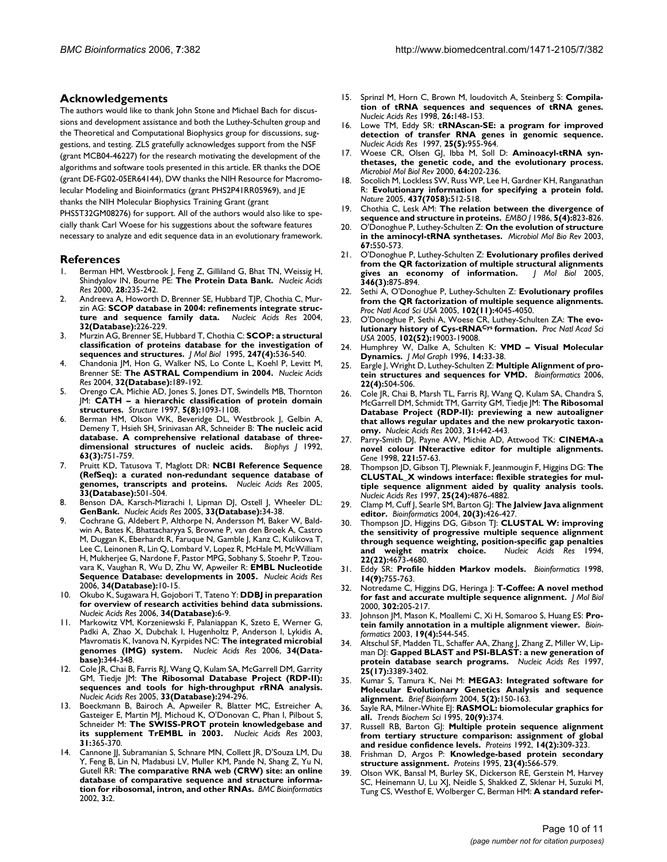## **Acknowledgements**

The authors would like to thank John Stone and Michael Bach for discussions and development assistance and both the Luthey-Schulten group and the Theoretical and Computational Biophysics group for discussions, suggestions, and testing. ZLS gratefully acknowledges support from the NSF (grant MCB04-46227) for the research motivating the development of the algorithms and software tools presented in this article. ER thanks the DOE (grant DE-FG02-05ER64144), DW thanks the NIH Resource for Macromolecular Modeling and Bioinformatics (grant PHS2P41RR05969), and JE thanks the NIH Molecular Biophysics Training Grant (grant

PHS5T32GM08276) for support. All of the authors would also like to specially thank Carl Woese for his suggestions about the software features necessary to analyze and edit sequence data in an evolutionary framework.

#### **References**

- Berman HM, Westbrook J, Feng Z, Gilliland G, Bhat TN, Weissig H, Shindyalov IN, Bourne PE: **[The Protein Data Bank.](http://www.ncbi.nlm.nih.gov/entrez/query.fcgi?cmd=Retrieve&db=PubMed&dopt=Abstract&list_uids=10592235)** *Nucleic Acids Res* 2000, **28:**235-242.
- 2. Andreeva A, Howorth D, Brenner SE, Hubbard TJP, Chothia C, Murzin AG: **SCOP database in 2004: refinements integrate struc**ture and sequence family data. **32(Database):**226-229.
- 3. Murzin AG, Brenner SE, Hubbard T, Chothia C: **[SCOP: a structural](http://www.ncbi.nlm.nih.gov/entrez/query.fcgi?cmd=Retrieve&db=PubMed&dopt=Abstract&list_uids=7723011) [classification of proteins database for the investigation of](http://www.ncbi.nlm.nih.gov/entrez/query.fcgi?cmd=Retrieve&db=PubMed&dopt=Abstract&list_uids=7723011) [sequences and structures.](http://www.ncbi.nlm.nih.gov/entrez/query.fcgi?cmd=Retrieve&db=PubMed&dopt=Abstract&list_uids=7723011)** *J Mol Biol* 1995, **247(4):**536-540.
- 4. Chandonia JM, Hon G, Walker NS, Lo Conte L, Koehl P, Levitt M, Brenner SE: **[The ASTRAL Compendium in 2004.](http://www.ncbi.nlm.nih.gov/entrez/query.fcgi?cmd=Retrieve&db=PubMed&dopt=Abstract&list_uids=14704356)** *Nucleic Acids Res* 2004, **32(Database):**189-192.
- 5. Orengo CA, Michie AD, Jones S, Jones DT, Swindells MB, Thornton JM: **[CATH – a hierarchic classification of protein domain](http://www.ncbi.nlm.nih.gov/entrez/query.fcgi?cmd=Retrieve&db=PubMed&dopt=Abstract&list_uids=9309224) [structures.](http://www.ncbi.nlm.nih.gov/entrez/query.fcgi?cmd=Retrieve&db=PubMed&dopt=Abstract&list_uids=9309224)** *Structure* 1997, **5(8):**1093-1108.
- 6. Berman HM, Olson WK, Beveridge DL, Westbrook J, Gelbin A, Demeny T, Hsieh SH, Srinivasan AR, Schneider B: **[The nucleic acid](http://www.ncbi.nlm.nih.gov/entrez/query.fcgi?cmd=Retrieve&db=PubMed&dopt=Abstract&list_uids=1384741) [database. A comprehensive relational database of three](http://www.ncbi.nlm.nih.gov/entrez/query.fcgi?cmd=Retrieve&db=PubMed&dopt=Abstract&list_uids=1384741)[dimensional structures of nucleic acids.](http://www.ncbi.nlm.nih.gov/entrez/query.fcgi?cmd=Retrieve&db=PubMed&dopt=Abstract&list_uids=1384741)** *Biophys J* 1992, **63(3):**751-759.
- 7. Pruitt KD, Tatusova T, Maglott DR: **NCBI Reference Sequence (RefSeq): a curated non-redundant sequence database of genomes, transcripts and proteins.** *Nucleic Acids Res* 2005, **33(Database):**501-504.
- 8. Benson DA, Karsch-Mizrachi I, Lipman DJ, Ostell J, Wheeler DL: **GenBank.** *Nucleic Acids Res* 2005, **33(Database):**34-38.
- 9. Cochrane G, Aldebert P, Althorpe N, Andersson M, Baker W, Baldwin A, Bates K, Bhattacharyya S, Browne P, van den Broek A, Castro M, Duggan K, Eberhardt R, Faruque N, Gamble J, Kanz C, Kulikova T, Lee C, Leinonen R, Lin Q, Lombard V, Lopez R, McHale M, McWilliam H, Mukherjee G, Nardone F, Pastor MPG, Sobhany S, Stoehr P, Tzouvara K, Vaughan R, Wu D, Zhu W, Apweiler R: **[EMBL Nucleotide](http://www.ncbi.nlm.nih.gov/entrez/query.fcgi?cmd=Retrieve&db=PubMed&dopt=Abstract&list_uids=16397294) [Sequence Database: developments in 2005.](http://www.ncbi.nlm.nih.gov/entrez/query.fcgi?cmd=Retrieve&db=PubMed&dopt=Abstract&list_uids=16397294)** *Nucleic Acids Res* 2006, **34(Database):**10-15.
- 10. Okubo K, Sugawara H, Gojobori T, Tateno Y: **DDBJ in preparation for overview of research activities behind data submissions.** *Nucleic Acids Res* 2006, **34(Database):**6-9.
- 11. Markowitz VM, Korzeniewski F, Palaniappan K, Szeto E, Werner G, Padki A, Zhao X, Dubchak I, Hugenholtz P, Anderson I, Lykidis A, Mavromatis K, Ivanova N, Kyrpides NC: **The integrated microbial genomes (IMG) system.** *Nucleic Acids Res* 2006, **34(Database):**344-348.
- 12. Cole JR, Chai B, Farris RJ, Wang Q, Kulam SA, McGarrell DM, Garrity GM, Tiedje JM: **The Ribosomal Database Project (RDP-II): sequences and tools for high-throughput rRNA analysis.** *Nucleic Acids Res* 2005, **33(Database):**294-296.
- 13. Boeckmann B, Bairoch A, Apweiler R, Blatter MC, Estreicher A, Gasteiger E, Martin MJ, Michoud K, O'Donovan C, Phan I, Pilbout S, Schneider M: **[The SWISS-PROT protein knowledgebase and](http://www.ncbi.nlm.nih.gov/entrez/query.fcgi?cmd=Retrieve&db=PubMed&dopt=Abstract&list_uids=12520024) [its supplement TrEMBL in 2003.](http://www.ncbi.nlm.nih.gov/entrez/query.fcgi?cmd=Retrieve&db=PubMed&dopt=Abstract&list_uids=12520024)** *Nucleic Acids Res* 2003, **31:**365-370.
- Cannone JJ, Subramanian S, Schnare MN, Collett JR, D'Souza LM, Du Y, Feng B, Lin N, Madabusi LV, Muller KM, Pande N, Shang Z, Yu N, Gutell RR: **[The comparative RNA web \(CRW\) site: an online](http://www.ncbi.nlm.nih.gov/entrez/query.fcgi?cmd=Retrieve&db=PubMed&dopt=Abstract&list_uids=11869452) [database of comparative sequence and structure informa](http://www.ncbi.nlm.nih.gov/entrez/query.fcgi?cmd=Retrieve&db=PubMed&dopt=Abstract&list_uids=11869452)[tion for ribosomal, intron, and other RNAs.](http://www.ncbi.nlm.nih.gov/entrez/query.fcgi?cmd=Retrieve&db=PubMed&dopt=Abstract&list_uids=11869452)** *BMC Bioinformatics* 2002, **3:**2.
- 15. Sprinzl M, Horn C, Brown M, loudovitch A, Steinberg S: **[Compila](http://www.ncbi.nlm.nih.gov/entrez/query.fcgi?cmd=Retrieve&db=PubMed&dopt=Abstract&list_uids=9399820)[tion of tRNA sequences and sequences of tRNA genes.](http://www.ncbi.nlm.nih.gov/entrez/query.fcgi?cmd=Retrieve&db=PubMed&dopt=Abstract&list_uids=9399820)** *Nucleic Acids Res* 1998, **26:**148-153.
- 16. Lowe TM, Eddy SR: **[tRNAscan-SE: a program for improved](http://www.ncbi.nlm.nih.gov/entrez/query.fcgi?cmd=Retrieve&db=PubMed&dopt=Abstract&list_uids=9023104) [detection of transfer RNA genes in genomic sequence.](http://www.ncbi.nlm.nih.gov/entrez/query.fcgi?cmd=Retrieve&db=PubMed&dopt=Abstract&list_uids=9023104)** *Nucleic Acids Res* 1997, **25(5):**955-964.
- 17. Woese CR, Olsen GJ, Ibba M, Soll D: **[Aminoacyl-tRNA syn](http://www.ncbi.nlm.nih.gov/entrez/query.fcgi?cmd=Retrieve&db=PubMed&dopt=Abstract&list_uids=10704480)[thetases, the genetic code, and the evolutionary process.](http://www.ncbi.nlm.nih.gov/entrez/query.fcgi?cmd=Retrieve&db=PubMed&dopt=Abstract&list_uids=10704480)** *Microbiol Mol Biol Rev* 2000, **64:**202-236.
- 18. Socolich M, Lockless SW, Russ WP, Lee H, Gardner KH, Ranganathan R: **[Evolutionary information for specifying a protein fold.](http://www.ncbi.nlm.nih.gov/entrez/query.fcgi?cmd=Retrieve&db=PubMed&dopt=Abstract&list_uids=16177782)** *Nature* 2005, **437(7058):**512-518.
- 19. Chothia C, Lesk AM: **[The relation between the divergence of](http://www.ncbi.nlm.nih.gov/entrez/query.fcgi?cmd=Retrieve&db=PubMed&dopt=Abstract&list_uids=3709526) [sequence and structure in proteins.](http://www.ncbi.nlm.nih.gov/entrez/query.fcgi?cmd=Retrieve&db=PubMed&dopt=Abstract&list_uids=3709526)** *EMBO J* 1986, **5(4):**823-826.
- 20. O'Donoghue P, Luthey-Schulten Z: **On the evolution of structure in the aminocyl-tRNA synthetases.** *Microbiol Mol Bio Rev* 2003, **67:**550-573.
- 21. O'Donoghue P, Luthey-Schulten Z: **[Evolutionary profiles derived](http://www.ncbi.nlm.nih.gov/entrez/query.fcgi?cmd=Retrieve&db=PubMed&dopt=Abstract&list_uids=15713469) [from the QR factorization of multiple structural alignments](http://www.ncbi.nlm.nih.gov/entrez/query.fcgi?cmd=Retrieve&db=PubMed&dopt=Abstract&list_uids=15713469) [gives an economy of information.](http://www.ncbi.nlm.nih.gov/entrez/query.fcgi?cmd=Retrieve&db=PubMed&dopt=Abstract&list_uids=15713469)** *J Mol Biol* 2005, **346(3):**875-894.
- 22. Sethi A, O'Donoghue P, Luthey-Schulten Z: **[Evolutionary profiles](http://www.ncbi.nlm.nih.gov/entrez/query.fcgi?cmd=Retrieve&db=PubMed&dopt=Abstract&list_uids=15741270) [from the QR factorization of multiple sequence alignments.](http://www.ncbi.nlm.nih.gov/entrez/query.fcgi?cmd=Retrieve&db=PubMed&dopt=Abstract&list_uids=15741270)** *Proc Natl Acad Sci USA* 2005, **102(11):**4045-4050.
- 23. O'Donoghue P, Sethi A, Woese CR, Luthey-Schulten ZA: **The evolutionary history of Cys-tRNACys [formation.](http://www.ncbi.nlm.nih.gov/entrez/query.fcgi?cmd=Retrieve&db=PubMed&dopt=Abstract&list_uids=16380427)** *Proc Natl Acad Sci USA* 2005, **102(52):**19003-19008.
- 24. Humphrey W, Dalke A, Schulten K: **[VMD Visual Molecular](http://www.ncbi.nlm.nih.gov/entrez/query.fcgi?cmd=Retrieve&db=PubMed&dopt=Abstract&list_uids=8744570) [Dynamics.](http://www.ncbi.nlm.nih.gov/entrez/query.fcgi?cmd=Retrieve&db=PubMed&dopt=Abstract&list_uids=8744570)** *J Mol Graph* 1996, **14:**33-38.
- 25. Eargle J, Wright D, Luthey-Schulten Z: **[Multiple Alignment of pro](http://www.ncbi.nlm.nih.gov/entrez/query.fcgi?cmd=Retrieve&db=PubMed&dopt=Abstract&list_uids=16339280)[tein structures and sequences for VMD.](http://www.ncbi.nlm.nih.gov/entrez/query.fcgi?cmd=Retrieve&db=PubMed&dopt=Abstract&list_uids=16339280)** *Bioinformatics* 2006, **22(4):**504-506.
- 26. Cole JR, Chai B, Marsh TL, Farris RJ, Wang Q, Kulam SA, Chandra S, McGarrell DM, Schmidt TM, Garrity GM, Tiedje JM: **[The Ribosomal](http://www.ncbi.nlm.nih.gov/entrez/query.fcgi?cmd=Retrieve&db=PubMed&dopt=Abstract&list_uids=12520046) [Database Project \(RDP-II\): previewing a new autoaligner](http://www.ncbi.nlm.nih.gov/entrez/query.fcgi?cmd=Retrieve&db=PubMed&dopt=Abstract&list_uids=12520046) that allows regular updates and the new prokaryotic taxon[omy.](http://www.ncbi.nlm.nih.gov/entrez/query.fcgi?cmd=Retrieve&db=PubMed&dopt=Abstract&list_uids=12520046)** *Nucleic Acids Res* 2003, **31:**442-443.
- 27. Parry-Smith DJ, Payne AW, Michie AD, Attwood TK: **CINEMA-a novel colour INteractive editor for multiple alignments.** *Gene* 1998, **221:**57-63.
- 28. Thompson JD, Gibson TJ, Plewniak F, Jeanmougin F, Higgins DG: **[The](http://www.ncbi.nlm.nih.gov/entrez/query.fcgi?cmd=Retrieve&db=PubMed&dopt=Abstract&list_uids=9396791) [CLUSTAL\\_X windows interface: flexible strategies for mul](http://www.ncbi.nlm.nih.gov/entrez/query.fcgi?cmd=Retrieve&db=PubMed&dopt=Abstract&list_uids=9396791)tiple sequence alignment aided by quality analysis tools.** *Nucleic Acids Res* 1997, **25(24):**4876-4882.
- 29. Clamp M, Cuff J, Searle SM, Barton GJ: **[The Jalview Java alignment](http://www.ncbi.nlm.nih.gov/entrez/query.fcgi?cmd=Retrieve&db=PubMed&dopt=Abstract&list_uids=14960472) [editor.](http://www.ncbi.nlm.nih.gov/entrez/query.fcgi?cmd=Retrieve&db=PubMed&dopt=Abstract&list_uids=14960472)** *Bioinformatics* 2004, **20(3):**426-427.
- 30. Thompson JD, Higgins DG, Gibson TJ: **[CLUSTAL W: improving](http://www.ncbi.nlm.nih.gov/entrez/query.fcgi?cmd=Retrieve&db=PubMed&dopt=Abstract&list_uids=7984417) [the sensitivity of progressive multiple sequence alignment](http://www.ncbi.nlm.nih.gov/entrez/query.fcgi?cmd=Retrieve&db=PubMed&dopt=Abstract&list_uids=7984417) through sequence weighting, position-specific gap penalties [and weight matrix choice.](http://www.ncbi.nlm.nih.gov/entrez/query.fcgi?cmd=Retrieve&db=PubMed&dopt=Abstract&list_uids=7984417)** *Nucleic Acids Res* 1994, **22(22):**4673-4680.
- 31. Eddy SR: **[Profile hidden Markov models.](http://www.ncbi.nlm.nih.gov/entrez/query.fcgi?cmd=Retrieve&db=PubMed&dopt=Abstract&list_uids=9918945)** *Bioinformatics* 1998, **14(9):**755-763.
- 32. Notredame C, Higgins DG, Heringa J: **[T-Coffee: A novel method](http://www.ncbi.nlm.nih.gov/entrez/query.fcgi?cmd=Retrieve&db=PubMed&dopt=Abstract&list_uids=10964570) [for fast and accurate multiple sequence alignment.](http://www.ncbi.nlm.nih.gov/entrez/query.fcgi?cmd=Retrieve&db=PubMed&dopt=Abstract&list_uids=10964570)** *J Mol Biol* 2000, **302:**205-217.
- 33. Johnson JM, Mason K, Moallemi C, Xi H, Somaroo S, Huang ES: **[Pro](http://www.ncbi.nlm.nih.gov/entrez/query.fcgi?cmd=Retrieve&db=PubMed&dopt=Abstract&list_uids=12611813)[tein family annotation in a multiple alignment viewer.](http://www.ncbi.nlm.nih.gov/entrez/query.fcgi?cmd=Retrieve&db=PubMed&dopt=Abstract&list_uids=12611813)** *Bioinformatics* 2003, **19(4):**544-545.
- 34. Altschul SF, Madden TL, Schaffer AA, Zhang J, Zhang Z, Miller W, Lipman DJ: **[Gapped BLAST and PSI-BLAST: a new generation of](http://www.ncbi.nlm.nih.gov/entrez/query.fcgi?cmd=Retrieve&db=PubMed&dopt=Abstract&list_uids=9254694) [protein database search programs.](http://www.ncbi.nlm.nih.gov/entrez/query.fcgi?cmd=Retrieve&db=PubMed&dopt=Abstract&list_uids=9254694)** *Nucleic Acids Res* 1997, **25(17):**3389-3402.
- 35. Kumar S, Tamura K, Nei M: **[MEGA3: Integrated software for](http://www.ncbi.nlm.nih.gov/entrez/query.fcgi?cmd=Retrieve&db=PubMed&dopt=Abstract&list_uids=15260895) [Molecular Evolutionary Genetics Analysis and sequence](http://www.ncbi.nlm.nih.gov/entrez/query.fcgi?cmd=Retrieve&db=PubMed&dopt=Abstract&list_uids=15260895) [alignment.](http://www.ncbi.nlm.nih.gov/entrez/query.fcgi?cmd=Retrieve&db=PubMed&dopt=Abstract&list_uids=15260895)** *Brief Bioinform* 2004, **5(2):**150-163.
- 36. Sayle RA, Milner-White EJ: **[RASMOL: biomolecular graphics for](http://www.ncbi.nlm.nih.gov/entrez/query.fcgi?cmd=Retrieve&db=PubMed&dopt=Abstract&list_uids=7482707) [all.](http://www.ncbi.nlm.nih.gov/entrez/query.fcgi?cmd=Retrieve&db=PubMed&dopt=Abstract&list_uids=7482707)** *Trends Biochem Sci* 1995, **20(9):**374.
- 37. Russell RB, Barton GJ: **[Multiple protein sequence alignment](http://www.ncbi.nlm.nih.gov/entrez/query.fcgi?cmd=Retrieve&db=PubMed&dopt=Abstract&list_uids=1409577) [from tertiary structure comparison: assignment of global](http://www.ncbi.nlm.nih.gov/entrez/query.fcgi?cmd=Retrieve&db=PubMed&dopt=Abstract&list_uids=1409577) [and residue confidence levels.](http://www.ncbi.nlm.nih.gov/entrez/query.fcgi?cmd=Retrieve&db=PubMed&dopt=Abstract&list_uids=1409577)** *Proteins* 1992, **14(2):**309-323.
- 38. Frishman D, Argos P: **[Knowledge-based protein secondary](http://www.ncbi.nlm.nih.gov/entrez/query.fcgi?cmd=Retrieve&db=PubMed&dopt=Abstract&list_uids=8749853) [structure assignment.](http://www.ncbi.nlm.nih.gov/entrez/query.fcgi?cmd=Retrieve&db=PubMed&dopt=Abstract&list_uids=8749853)** *Proteins* 1995, **23(4):**566-579.
- 39. Olson WK, Bansal M, Burley SK, Dickerson RE, Gerstein M, Harvey SC, Heinemann U, Lu XJ, Neidle S, Shakked Z, Sklenar H, Suzuki M, Tung CS, Westhof E, Wolberger C, Berman HM: **[A standard refer](http://www.ncbi.nlm.nih.gov/entrez/query.fcgi?cmd=Retrieve&db=PubMed&dopt=Abstract&list_uids=11601858)-**